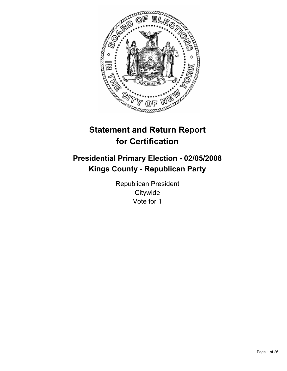

# **Statement and Return Report for Certification**

## **Presidential Primary Election - 02/05/2008 Kings County - Republican Party**

Republican President **Citywide** Vote for 1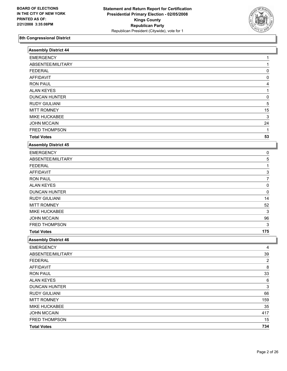

| <b>Assembly District 44</b> |                |
|-----------------------------|----------------|
| <b>EMERGENCY</b>            |                |
| ABSENTEE/MILITARY           | 1              |
| <b>FEDERAL</b>              | 0              |
| <b>AFFIDAVIT</b>            | 0              |
| <b>RON PAUL</b>             |                |
| <b>ALAN KEYES</b>           |                |
| <b>DUNCAN HUNTER</b>        | 0              |
| <b>RUDY GIULIANI</b>        | 5              |
| <b>MITT ROMNEY</b>          | 15             |
| MIKE HUCKABEE               | 3              |
| <b>JOHN MCCAIN</b>          | 24             |
| FRED THOMPSON               | 1              |
| <b>Total Votes</b>          | 53             |
| <b>Assembly District 45</b> |                |
| <b>EMERGENCY</b>            | 0              |
| ABSENTEE/MILITARY           | 5              |
| <b>FEDERAL</b>              | 1              |
| <b>AFFIDAVIT</b>            | 3              |
| <b>RON PAUL</b>             | 7              |
| <b>ALAN KEYES</b>           | 0              |
| <b>DUNCAN HUNTER</b>        | 0              |
| <b>RUDY GIULIANI</b>        | 14             |
| <b>MITT ROMNEY</b>          | 52             |
| MIKE HUCKABEE               | 3              |
| <b>JOHN MCCAIN</b>          | 96             |
| FRED THOMPSON               | 3              |
| <b>Total Votes</b>          | 175            |
| <b>Assembly District 46</b> |                |
| <b>EMERGENCY</b>            |                |
| ABSENTEE/MILITARY           | 39             |
| <b>FEDERAL</b>              | $\overline{2}$ |
| AFFIDAVIT                   | 8              |
| <b>RON PAUL</b>             | $33\,$         |
| <b>ALAN KEYES</b>           | 6              |
| <b>DUNCAN HUNTER</b>        | 3              |
| <b>RUDY GIULIANI</b>        | 66             |
| <b>MITT ROMNEY</b>          | 159            |
| MIKE HUCKABEE               | 35             |
| <b>JOHN MCCAIN</b>          | 417            |
| FRED THOMPSON               | 15             |
| <b>Total Votes</b>          | 734            |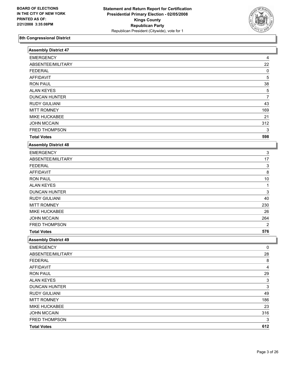

| <b>Assembly District 47</b> |                |
|-----------------------------|----------------|
| <b>EMERGENCY</b>            | 4              |
| ABSENTEE/MILITARY           | 22             |
| <b>FEDERAL</b>              | 0              |
| <b>AFFIDAVIT</b>            | 5              |
| <b>RON PAUL</b>             | 38             |
| <b>ALAN KEYES</b>           | $\mathbf 5$    |
| <b>DUNCAN HUNTER</b>        | 7              |
| <b>RUDY GIULIANI</b>        | 43             |
| <b>MITT ROMNEY</b>          | 169            |
| MIKE HUCKABEE               | 21             |
| <b>JOHN MCCAIN</b>          | 312            |
| FRED THOMPSON               | 3              |
| <b>Total Votes</b>          | 598            |
| <b>Assembly District 48</b> |                |
| <b>EMERGENCY</b>            | 3              |
| ABSENTEE/MILITARY           | 17             |
| <b>FEDERAL</b>              | 3              |
| <b>AFFIDAVIT</b>            | 8              |
| <b>RON PAUL</b>             | 10             |
| <b>ALAN KEYES</b>           | 1              |
| <b>DUNCAN HUNTER</b>        | 3              |
| <b>RUDY GIULIANI</b>        | 40             |
| <b>MITT ROMNEY</b>          | 230            |
| MIKE HUCKABEE               | 26             |
| <b>JOHN MCCAIN</b>          | 264            |
| FRED THOMPSON               | 2              |
| <b>Total Votes</b>          | 576            |
| <b>Assembly District 49</b> |                |
| <b>EMERGENCY</b>            | 0              |
| ABSENTEE/MILITARY           | 28             |
| <b>FEDERAL</b>              | $\overline{8}$ |
| <b>AFFIDAVIT</b>            | 4              |
| <b>RON PAUL</b>             | 29             |
| <b>ALAN KEYES</b>           | 3              |
| <b>DUNCAN HUNTER</b>        | $\mathsf 3$    |
| <b>RUDY GIULIANI</b>        | 49             |
| <b>MITT ROMNEY</b>          | 186            |
| MIKE HUCKABEE               | 23             |
| <b>JOHN MCCAIN</b>          | 316            |
| FRED THOMPSON               | 3              |
| <b>Total Votes</b>          | 612            |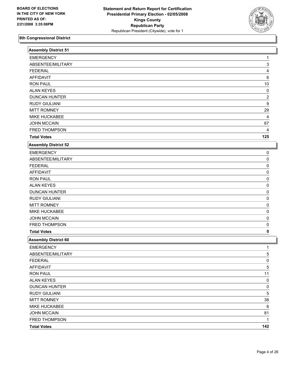

| <b>Assembly District 51</b> |                         |  |
|-----------------------------|-------------------------|--|
| <b>EMERGENCY</b>            |                         |  |
| ABSENTEE/MILITARY           | 3                       |  |
| <b>FEDERAL</b>              | 4                       |  |
| <b>AFFIDAVIT</b>            | 6                       |  |
| <b>RON PAUL</b>             | 10                      |  |
| <b>ALAN KEYES</b>           | 0                       |  |
| <b>DUNCAN HUNTER</b>        | $\overline{\mathbf{c}}$ |  |
| <b>RUDY GIULIANI</b>        | 9                       |  |
| <b>MITT ROMNEY</b>          | 29                      |  |
| MIKE HUCKABEE               | 4                       |  |
| <b>JOHN MCCAIN</b>          | 67                      |  |
| FRED THOMPSON               | 4                       |  |
| <b>Total Votes</b>          | 125                     |  |
| <b>Assembly District 52</b> |                         |  |
| <b>EMERGENCY</b>            | 0                       |  |
| ABSENTEE/MILITARY           | 0                       |  |
| <b>FEDERAL</b>              | 0                       |  |
| <b>AFFIDAVIT</b>            | 0                       |  |
| <b>RON PAUL</b>             | 0                       |  |
| <b>ALAN KEYES</b>           | 0                       |  |
| <b>DUNCAN HUNTER</b>        | 0                       |  |
| <b>RUDY GIULIANI</b>        | 0                       |  |
| <b>MITT ROMNEY</b>          | 0                       |  |
| MIKE HUCKABEE               | 0                       |  |
| <b>JOHN MCCAIN</b>          | 0                       |  |
| FRED THOMPSON               | 0                       |  |
| <b>Total Votes</b>          | 0                       |  |
| <b>Assembly District 60</b> |                         |  |
| <b>EMERGENCY</b>            | 1                       |  |
| ABSENTEE/MILITARY           | 5                       |  |
| <b>FEDERAL</b>              | $\overline{0}$          |  |
| <b>AFFIDAVIT</b>            | 5                       |  |
| <b>RON PAUL</b>             | 11                      |  |
| <b>ALAN KEYES</b>           | 0                       |  |
| <b>DUNCAN HUNTER</b>        | 0                       |  |
| <b>RUDY GIULIANI</b>        | 5                       |  |
| <b>MITT ROMNEY</b>          | $38\,$                  |  |
| MIKE HUCKABEE               | 6                       |  |
| <b>JOHN MCCAIN</b>          | 81                      |  |
| FRED THOMPSON               | 1                       |  |
| <b>Total Votes</b>          | 142                     |  |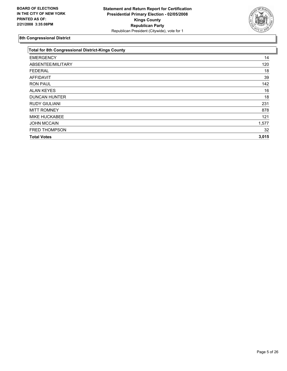

| 14<br>120 |
|-----------|
|           |
|           |
| 18        |
| 39        |
| 142       |
| 16        |
| 18        |
| 231       |
| 878       |
| 121       |
| 1,577     |
| 32        |
| 3,015     |
|           |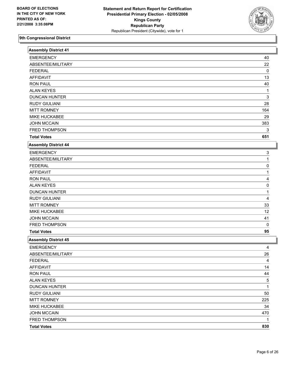

| <b>Assembly District 41</b> |             |
|-----------------------------|-------------|
| <b>EMERGENCY</b>            | 40          |
| ABSENTEE/MILITARY           | 22          |
| <b>FEDERAL</b>              | 0           |
| <b>AFFIDAVIT</b>            | 13          |
| <b>RON PAUL</b>             | 40          |
| <b>ALAN KEYES</b>           | 1           |
| <b>DUNCAN HUNTER</b>        | 3           |
| <b>RUDY GIULIANI</b>        | 28          |
| <b>MITT ROMNEY</b>          | 164         |
| MIKE HUCKABEE               | 29          |
| <b>JOHN MCCAIN</b>          | 383         |
| FRED THOMPSON               | 3           |
| <b>Total Votes</b>          | 651         |
| <b>Assembly District 44</b> |             |
| <b>EMERGENCY</b>            | 3           |
| ABSENTEE/MILITARY           |             |
| <b>FEDERAL</b>              | 0           |
| <b>AFFIDAVIT</b>            |             |
| <b>RON PAUL</b>             |             |
| <b>ALAN KEYES</b>           | 0           |
| <b>DUNCAN HUNTER</b>        |             |
| <b>RUDY GIULIANI</b>        | 4           |
| <b>MITT ROMNEY</b>          | 33          |
| MIKE HUCKABEE               | 12          |
| <b>JOHN MCCAIN</b>          | 41          |
| FRED THOMPSON               | $\mathbf 0$ |
| <b>Total Votes</b>          | 95          |
| <b>Assembly District 45</b> |             |
| <b>EMERGENCY</b>            | 4           |
| ABSENTEE/MILITARY           | 26          |
| <b>FEDERAL</b>              | 4           |
| AFFIDAVIT                   | 14          |
| <b>RON PAUL</b>             | 44          |
| <b>ALAN KEYES</b>           | 5           |
| <b>DUNCAN HUNTER</b>        | 1           |
| <b>RUDY GIULIANI</b>        | 50          |
| <b>MITT ROMNEY</b>          | 225         |
| MIKE HUCKABEE               | 34          |
| <b>JOHN MCCAIN</b>          | 470         |
| FRED THOMPSON               | 1           |
| <b>Total Votes</b>          | 830         |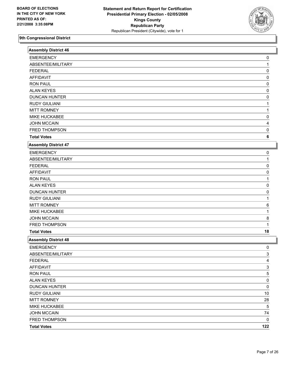

| <b>Assembly District 46</b> |     |
|-----------------------------|-----|
| <b>EMERGENCY</b>            | 0   |
| ABSENTEE/MILITARY           |     |
| <b>FEDERAL</b>              | 0   |
| <b>AFFIDAVIT</b>            | 0   |
| <b>RON PAUL</b>             | 0   |
| <b>ALAN KEYES</b>           | 0   |
| <b>DUNCAN HUNTER</b>        | 0   |
| <b>RUDY GIULIANI</b>        |     |
| <b>MITT ROMNEY</b>          |     |
| MIKE HUCKABEE               | 0   |
| <b>JOHN MCCAIN</b>          |     |
| FRED THOMPSON               | 0   |
| <b>Total Votes</b>          | 6   |
| <b>Assembly District 47</b> |     |
| <b>EMERGENCY</b>            | 0   |
| ABSENTEE/MILITARY           |     |
| <b>FEDERAL</b>              | 0   |
| <b>AFFIDAVIT</b>            | 0   |
| <b>RON PAUL</b>             |     |
| <b>ALAN KEYES</b>           | 0   |
| <b>DUNCAN HUNTER</b>        | 0   |
| <b>RUDY GIULIANI</b>        |     |
| <b>MITT ROMNEY</b>          | 6   |
| MIKE HUCKABEE               |     |
| <b>JOHN MCCAIN</b>          | 8   |
| FRED THOMPSON               | 1   |
| <b>Total Votes</b>          | 18  |
| <b>Assembly District 48</b> |     |
| <b>EMERGENCY</b>            | 0   |
| ABSENTEE/MILITARY           | 3   |
| <b>FEDERAL</b>              | 4   |
| <b>AFFIDAVIT</b>            | 3   |
| <b>RON PAUL</b>             | 5   |
| <b>ALAN KEYES</b>           | 0   |
| <b>DUNCAN HUNTER</b>        | 0   |
| <b>RUDY GIULIANI</b>        | 10  |
| <b>MITT ROMNEY</b>          | 28  |
| MIKE HUCKABEE               | 5   |
| <b>JOHN MCCAIN</b>          | 74  |
| FRED THOMPSON               | 0   |
| <b>Total Votes</b>          | 122 |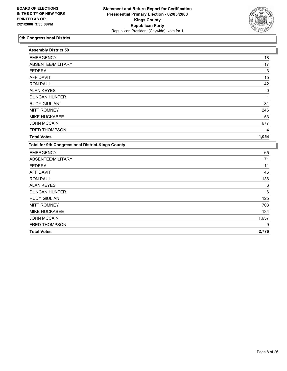

| <b>Assembly District 59</b>                              |       |
|----------------------------------------------------------|-------|
| <b>EMERGENCY</b>                                         | 18    |
| ABSENTEE/MILITARY                                        | 17    |
| <b>FEDERAL</b>                                           | 3     |
| <b>AFFIDAVIT</b>                                         | 15    |
| <b>RON PAUL</b>                                          | 42    |
| <b>ALAN KEYES</b>                                        | 0     |
| <b>DUNCAN HUNTER</b>                                     |       |
| <b>RUDY GIULIANI</b>                                     | 31    |
| <b>MITT ROMNEY</b>                                       | 246   |
| MIKE HUCKABEE                                            | 53    |
| <b>JOHN MCCAIN</b>                                       | 677   |
| <b>FRED THOMPSON</b>                                     | 4     |
| <b>Total Votes</b>                                       | 1,054 |
| <b>Total for 9th Congressional District-Kings County</b> |       |
| <b>EMERGENCY</b>                                         | 65    |
| ABSENTEE/MILITARY                                        | 71    |
| <b>FEDERAL</b>                                           | 11    |
| <b>AFFIDAVIT</b>                                         | 46    |
| <b>RON PAUL</b>                                          | 136   |
| <b>ALAN KEYES</b>                                        | 6     |
| <b>DUNCAN HUNTER</b>                                     | 6     |
| <b>RUDY GIULIANI</b>                                     | 125   |
| <b>MITT ROMNEY</b>                                       | 703   |
| MIKE HUCKABEE                                            | 134   |
| <b>JOHN MCCAIN</b>                                       | 1,657 |
| FRED THOMPSON                                            | 9     |
| <b>Total Votes</b>                                       | 2,776 |
|                                                          |       |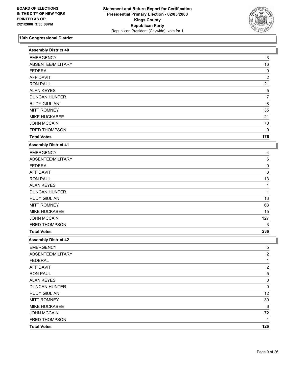

| <b>Assembly District 40</b> |                |
|-----------------------------|----------------|
| <b>EMERGENCY</b>            | 3              |
| ABSENTEE/MILITARY           | 16             |
| <b>FEDERAL</b>              | 0              |
| <b>AFFIDAVIT</b>            | $\overline{2}$ |
| <b>RON PAUL</b>             | 21             |
| <b>ALAN KEYES</b>           | 5              |
| <b>DUNCAN HUNTER</b>        | $\overline{7}$ |
| <b>RUDY GIULIANI</b>        | 8              |
| <b>MITT ROMNEY</b>          | 35             |
| MIKE HUCKABEE               | 21             |
| <b>JOHN MCCAIN</b>          | 70             |
| FRED THOMPSON               | 9              |
| <b>Total Votes</b>          | 176            |
| <b>Assembly District 41</b> |                |
| <b>EMERGENCY</b>            | 4              |
| ABSENTEE/MILITARY           | 6              |
| <b>FEDERAL</b>              | 0              |
| <b>AFFIDAVIT</b>            | 3              |
| <b>RON PAUL</b>             | 13             |
| <b>ALAN KEYES</b>           | 1              |
| <b>DUNCAN HUNTER</b>        | 1              |
| <b>RUDY GIULIANI</b>        | 13             |
| <b>MITT ROMNEY</b>          | 63             |
| MIKE HUCKABEE               | 15             |
| <b>JOHN MCCAIN</b>          | 127            |
| FRED THOMPSON               | 3              |
| <b>Total Votes</b>          | 236            |
| <b>Assembly District 42</b> |                |
| <b>EMERGENCY</b>            | 5              |
| ABSENTEE/MILITARY           | $\overline{2}$ |
| <b>FEDERAL</b>              | 1              |
| <b>AFFIDAVIT</b>            | 2              |
| <b>RON PAUL</b>             | 5              |
| <b>ALAN KEYES</b>           | 0              |
| <b>DUNCAN HUNTER</b>        | 0              |
| <b>RUDY GIULIANI</b>        | 12             |
| <b>MITT ROMNEY</b>          | $30\,$         |
| MIKE HUCKABEE               | 6              |
| <b>JOHN MCCAIN</b>          | 72             |
| FRED THOMPSON               | 1              |
| <b>Total Votes</b>          | 126            |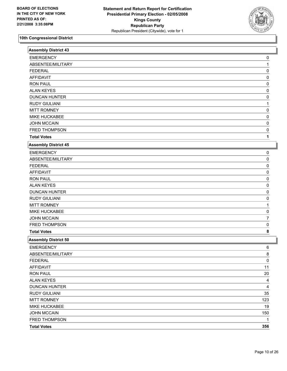

| <b>Assembly District 43</b> |           |
|-----------------------------|-----------|
| <b>EMERGENCY</b>            | 0         |
| ABSENTEE/MILITARY           |           |
| <b>FEDERAL</b>              | 0         |
| <b>AFFIDAVIT</b>            | 0         |
| <b>RON PAUL</b>             | 0         |
| <b>ALAN KEYES</b>           | 0         |
| <b>DUNCAN HUNTER</b>        | 0         |
| <b>RUDY GIULIANI</b>        |           |
| <b>MITT ROMNEY</b>          | 0         |
| MIKE HUCKABEE               | 0         |
| <b>JOHN MCCAIN</b>          | 0         |
| FRED THOMPSON               | 0         |
| <b>Total Votes</b>          | 1         |
| <b>Assembly District 45</b> |           |
| <b>EMERGENCY</b>            | 0         |
| ABSENTEE/MILITARY           | 0         |
| <b>FEDERAL</b>              | 0         |
| <b>AFFIDAVIT</b>            | 0         |
| <b>RON PAUL</b>             | 0         |
| <b>ALAN KEYES</b>           | 0         |
| <b>DUNCAN HUNTER</b>        | 0         |
| <b>RUDY GIULIANI</b>        | 0         |
| <b>MITT ROMNEY</b>          |           |
| MIKE HUCKABEE               | 0         |
| <b>JOHN MCCAIN</b>          | 7         |
| FRED THOMPSON               | 0         |
| <b>Total Votes</b>          | 8         |
| Assembly District 50        |           |
| <b>EMERGENCY</b>            | 6         |
| ABSENTEE/MILITARY           | 8         |
| <b>FEDERAL</b>              | $\pmb{0}$ |
| <b>AFFIDAVIT</b>            | 11        |
| <b>RON PAUL</b>             | 20        |
| <b>ALAN KEYES</b>           | 4         |
| <b>DUNCAN HUNTER</b>        | 4         |
| <b>RUDY GIULIANI</b>        | 35        |
| <b>MITT ROMNEY</b>          | 123       |
| MIKE HUCKABEE               | 19        |
| <b>JOHN MCCAIN</b>          | 150       |
| FRED THOMPSON               |           |
| <b>Total Votes</b>          | 356       |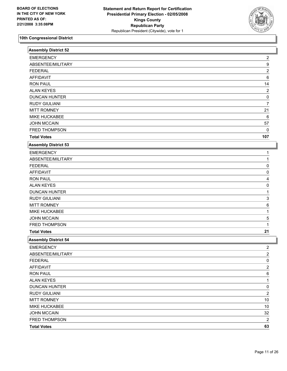

| <b>Assembly District 52</b> |                         |  |
|-----------------------------|-------------------------|--|
| <b>EMERGENCY</b>            | 2                       |  |
| ABSENTEE/MILITARY           | 9                       |  |
| <b>FEDERAL</b>              | $\overline{\mathbf{c}}$ |  |
| <b>AFFIDAVIT</b>            | 6                       |  |
| <b>RON PAUL</b>             | 14                      |  |
| <b>ALAN KEYES</b>           | 2                       |  |
| <b>DUNCAN HUNTER</b>        | 0                       |  |
| <b>RUDY GIULIANI</b>        | 7                       |  |
| <b>MITT ROMNEY</b>          | 21                      |  |
| MIKE HUCKABEE               | 6                       |  |
| <b>JOHN MCCAIN</b>          | 57                      |  |
| FRED THOMPSON               | 0                       |  |
| <b>Total Votes</b>          | 107                     |  |
| <b>Assembly District 53</b> |                         |  |
| <b>EMERGENCY</b>            |                         |  |
| ABSENTEE/MILITARY           |                         |  |
| <b>FEDERAL</b>              | 0                       |  |
| <b>AFFIDAVIT</b>            | 0                       |  |
| <b>RON PAUL</b>             | 4                       |  |
| <b>ALAN KEYES</b>           | 0                       |  |
| <b>DUNCAN HUNTER</b>        |                         |  |
| <b>RUDY GIULIANI</b>        | 3                       |  |
| <b>MITT ROMNEY</b>          | 6                       |  |
| MIKE HUCKABEE               |                         |  |
| <b>JOHN MCCAIN</b>          | 5                       |  |
| FRED THOMPSON               | 1                       |  |
| <b>Total Votes</b>          | 21                      |  |
| <b>Assembly District 54</b> |                         |  |
| <b>EMERGENCY</b>            | 2                       |  |
| ABSENTEE/MILITARY           | $\overline{2}$          |  |
| <b>FEDERAL</b>              | $\overline{0}$          |  |
| <b>AFFIDAVIT</b>            | 2                       |  |
| <b>RON PAUL</b>             | 6                       |  |
| <b>ALAN KEYES</b>           | 1                       |  |
| <b>DUNCAN HUNTER</b>        | 0                       |  |
| <b>RUDY GIULIANI</b>        | $\overline{\mathbf{c}}$ |  |
| <b>MITT ROMNEY</b>          | $10$                    |  |
| MIKE HUCKABEE               | $10$                    |  |
| <b>JOHN MCCAIN</b>          | 32                      |  |
| FRED THOMPSON               | $\overline{\mathbf{c}}$ |  |
| <b>Total Votes</b>          | 63                      |  |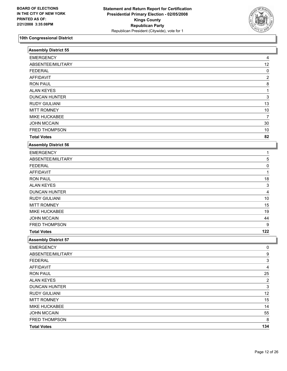

| Assembly District 55        |                |  |
|-----------------------------|----------------|--|
| <b>EMERGENCY</b>            | 4              |  |
| ABSENTEE/MILITARY           | 12             |  |
| <b>FEDERAL</b>              | 0              |  |
| <b>AFFIDAVIT</b>            | 2              |  |
| <b>RON PAUL</b>             | 8              |  |
| <b>ALAN KEYES</b>           | 1              |  |
| <b>DUNCAN HUNTER</b>        | 3              |  |
| <b>RUDY GIULIANI</b>        | 13             |  |
| <b>MITT ROMNEY</b>          | $10$           |  |
| MIKE HUCKABEE               | 7              |  |
| <b>JOHN MCCAIN</b>          | 30             |  |
| FRED THOMPSON               | $10$           |  |
| <b>Total Votes</b>          | 82             |  |
| <b>Assembly District 56</b> |                |  |
| <b>EMERGENCY</b>            |                |  |
| ABSENTEE/MILITARY           | 5              |  |
| <b>FEDERAL</b>              | 0              |  |
| <b>AFFIDAVIT</b>            |                |  |
| <b>RON PAUL</b>             | 18             |  |
| <b>ALAN KEYES</b>           | 3              |  |
| <b>DUNCAN HUNTER</b>        | 4              |  |
| <b>RUDY GIULIANI</b>        | $10$           |  |
| <b>MITT ROMNEY</b>          | 15             |  |
| MIKE HUCKABEE               | 19             |  |
| <b>JOHN MCCAIN</b>          | 44             |  |
| FRED THOMPSON               | 9              |  |
| <b>Total Votes</b>          | 122            |  |
| <b>Assembly District 57</b> |                |  |
| <b>EMERGENCY</b>            | 0              |  |
| ABSENTEE/MILITARY           | 9              |  |
| <b>FEDERAL</b>              | $\overline{3}$ |  |
| <b>AFFIDAVIT</b>            | 4              |  |
| <b>RON PAUL</b>             | 25             |  |
| <b>ALAN KEYES</b>           | $\overline{2}$ |  |
| <b>DUNCAN HUNTER</b>        | 3              |  |
| <b>RUDY GIULIANI</b>        | 12             |  |
| <b>MITT ROMNEY</b>          | 15             |  |
| MIKE HUCKABEE               | 14             |  |
| <b>JOHN MCCAIN</b>          | 55             |  |
| FRED THOMPSON               | 8              |  |
| <b>Total Votes</b>          | 134            |  |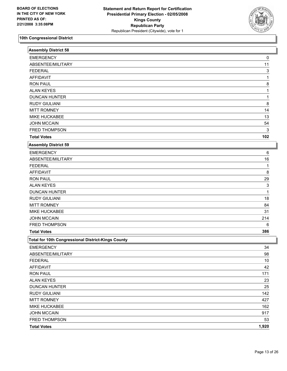

| Assembly District 58                               |       |
|----------------------------------------------------|-------|
| <b>EMERGENCY</b>                                   | 0     |
| ABSENTEE/MILITARY                                  | 11    |
| <b>FEDERAL</b>                                     | 3     |
| <b>AFFIDAVIT</b>                                   | 1     |
| <b>RON PAUL</b>                                    | 8     |
| <b>ALAN KEYES</b>                                  |       |
| <b>DUNCAN HUNTER</b>                               |       |
| <b>RUDY GIULIANI</b>                               | 8     |
| <b>MITT ROMNEY</b>                                 | 14    |
| MIKE HUCKABEE                                      | 13    |
| <b>JOHN MCCAIN</b>                                 | 54    |
| FRED THOMPSON                                      | 3     |
| <b>Total Votes</b>                                 | 102   |
| Assembly District 59                               |       |
| <b>EMERGENCY</b>                                   | 6     |
| ABSENTEE/MILITARY                                  | 16    |
| <b>FEDERAL</b>                                     |       |
| <b>AFFIDAVIT</b>                                   | 8     |
| <b>RON PAUL</b>                                    | 29    |
| <b>ALAN KEYES</b>                                  | 3     |
| <b>DUNCAN HUNTER</b>                               | 1     |
| <b>RUDY GIULIANI</b>                               | 18    |
| <b>MITT ROMNEY</b>                                 | 84    |
| MIKE HUCKABEE                                      | 31    |
| <b>JOHN MCCAIN</b>                                 | 214   |
| FRED THOMPSON                                      | 6     |
| <b>Total Votes</b>                                 | 386   |
| Total for 10th Congressional District-Kings County |       |
| <b>EMERGENCY</b>                                   | 34    |
| ABSENTEE/MILITARY                                  | 98    |
| <b>FEDERAL</b>                                     | $10$  |
| <b>AFFIDAVIT</b>                                   | 42    |
| <b>RON PAUL</b>                                    | 171   |
| <b>ALAN KEYES</b>                                  | 23    |
| <b>DUNCAN HUNTER</b>                               | 25    |
| <b>RUDY GIULIANI</b>                               | 142   |
| <b>MITT ROMNEY</b>                                 | 427   |
| MIKE HUCKABEE                                      | 162   |
| <b>JOHN MCCAIN</b>                                 | 917   |
| FRED THOMPSON                                      | 53    |
| <b>Total Votes</b>                                 | 1,920 |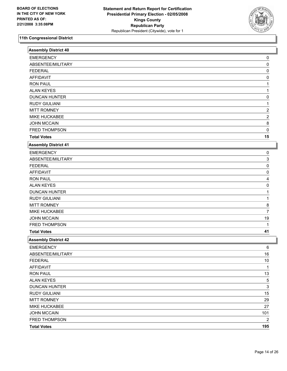

| Assembly District 40        |                         |
|-----------------------------|-------------------------|
| <b>EMERGENCY</b>            | 0                       |
| ABSENTEE/MILITARY           | 0                       |
| <b>FEDERAL</b>              | 0                       |
| <b>AFFIDAVIT</b>            | 0                       |
| <b>RON PAUL</b>             |                         |
| <b>ALAN KEYES</b>           |                         |
| <b>DUNCAN HUNTER</b>        | 0                       |
| <b>RUDY GIULIANI</b>        |                         |
| <b>MITT ROMNEY</b>          | 2                       |
| MIKE HUCKABEE               | $\overline{2}$          |
| <b>JOHN MCCAIN</b>          | 8                       |
| FRED THOMPSON               | 0                       |
| <b>Total Votes</b>          | 15                      |
| <b>Assembly District 41</b> |                         |
| <b>EMERGENCY</b>            | 0                       |
| ABSENTEE/MILITARY           | 3                       |
| <b>FEDERAL</b>              | 0                       |
| <b>AFFIDAVIT</b>            | 0                       |
| <b>RON PAUL</b>             |                         |
| <b>ALAN KEYES</b>           | 0                       |
| <b>DUNCAN HUNTER</b>        |                         |
| <b>RUDY GIULIANI</b>        |                         |
| <b>MITT ROMNEY</b>          | 8                       |
| MIKE HUCKABEE               | 7                       |
| <b>JOHN MCCAIN</b>          | 19                      |
| FRED THOMPSON               |                         |
| <b>Total Votes</b>          | 41                      |
| <b>Assembly District 42</b> |                         |
| <b>EMERGENCY</b>            | 6                       |
| ABSENTEE/MILITARY           | 16                      |
| <b>FEDERAL</b>              | 10                      |
| <b>AFFIDAVIT</b>            | 1                       |
| <b>RON PAUL</b>             | 13                      |
| <b>ALAN KEYES</b>           | 5                       |
| <b>DUNCAN HUNTER</b>        | 3                       |
| <b>RUDY GIULIANI</b>        | 15                      |
| <b>MITT ROMNEY</b>          | 29                      |
| MIKE HUCKABEE               | 27                      |
| <b>JOHN MCCAIN</b>          | 101                     |
| FRED THOMPSON               | $\overline{\mathbf{c}}$ |
| <b>Total Votes</b>          | 195                     |
|                             |                         |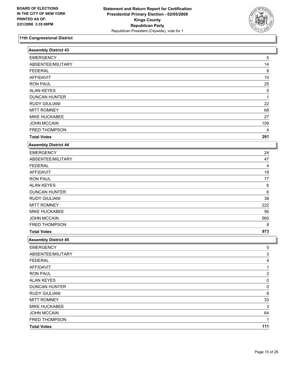

| <b>Assembly District 43</b> |                |
|-----------------------------|----------------|
| <b>EMERGENCY</b>            | 5              |
| ABSENTEE/MILITARY           | 14             |
| <b>FEDERAL</b>              | 8              |
| <b>AFFIDAVIT</b>            | $10$           |
| <b>RON PAUL</b>             | 25             |
| <b>ALAN KEYES</b>           | 5              |
| <b>DUNCAN HUNTER</b>        |                |
| <b>RUDY GIULIANI</b>        | 22             |
| <b>MITT ROMNEY</b>          | 68             |
| MIKE HUCKABEE               | 27             |
| <b>JOHN MCCAIN</b>          | 109            |
| FRED THOMPSON               | 4              |
| <b>Total Votes</b>          | 261            |
| <b>Assembly District 44</b> |                |
| <b>EMERGENCY</b>            | 24             |
| ABSENTEE/MILITARY           | 47             |
| <b>FEDERAL</b>              | 4              |
| <b>AFFIDAVIT</b>            | 19             |
| <b>RON PAUL</b>             | 77             |
| <b>ALAN KEYES</b>           | 6              |
| <b>DUNCAN HUNTER</b>        | 6              |
| <b>RUDY GIULIANI</b>        | 38             |
| <b>MITT ROMNEY</b>          | 222            |
| MIKE HUCKABEE               | 56             |
| <b>JOHN MCCAIN</b>          | 560            |
| FRED THOMPSON               | 8              |
| <b>Total Votes</b>          | 973            |
| <b>Assembly District 45</b> |                |
| <b>EMERGENCY</b>            | 5              |
| ABSENTEE/MILITARY           | 3              |
| <b>FEDERAL</b>              | 4              |
| <b>AFFIDAVIT</b>            | 1.             |
| <b>RON PAUL</b>             | $\overline{c}$ |
| <b>ALAN KEYES</b>           | 0              |
| <b>DUNCAN HUNTER</b>        | 0              |
| <b>RUDY GIULIANI</b>        | 8              |
| <b>MITT ROMNEY</b>          | 33             |
| MIKE HUCKABEE               | 3              |
| <b>JOHN MCCAIN</b>          | 64             |
| FRED THOMPSON               |                |
| <b>Total Votes</b>          | 111            |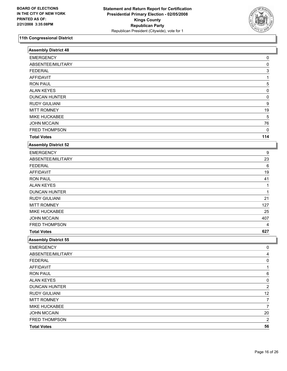

| <b>EMERGENCY</b><br>ABSENTEE/MILITARY<br><b>FEDERAL</b> | 0                       |  |
|---------------------------------------------------------|-------------------------|--|
|                                                         |                         |  |
|                                                         | 0                       |  |
|                                                         | 3                       |  |
| <b>AFFIDAVIT</b>                                        |                         |  |
| <b>RON PAUL</b>                                         | 5                       |  |
| <b>ALAN KEYES</b>                                       | 0                       |  |
| <b>DUNCAN HUNTER</b>                                    | 0                       |  |
| <b>RUDY GIULIANI</b>                                    | 9                       |  |
| <b>MITT ROMNEY</b>                                      | 19                      |  |
| MIKE HUCKABEE                                           | 5                       |  |
| <b>JOHN MCCAIN</b>                                      | 76                      |  |
| FRED THOMPSON                                           | 0                       |  |
| <b>Total Votes</b>                                      | 114                     |  |
| <b>Assembly District 52</b>                             |                         |  |
| <b>EMERGENCY</b>                                        | 9                       |  |
| ABSENTEE/MILITARY                                       | 23                      |  |
| <b>FEDERAL</b>                                          | 6                       |  |
| <b>AFFIDAVIT</b>                                        | 19                      |  |
| <b>RON PAUL</b>                                         | 41                      |  |
| <b>ALAN KEYES</b>                                       |                         |  |
| <b>DUNCAN HUNTER</b>                                    |                         |  |
| <b>RUDY GIULIANI</b>                                    | 21                      |  |
| <b>MITT ROMNEY</b>                                      | 127                     |  |
| MIKE HUCKABEE                                           | 25                      |  |
| <b>JOHN MCCAIN</b>                                      | 407                     |  |
| FRED THOMPSON                                           | 4                       |  |
| <b>Total Votes</b>                                      | 627                     |  |
| Assembly District 55                                    |                         |  |
| <b>EMERGENCY</b>                                        | 0                       |  |
| ABSENTEE/MILITARY                                       | 4                       |  |
| <b>FEDERAL</b>                                          | 0                       |  |
| <b>AFFIDAVIT</b>                                        | 1                       |  |
| <b>RON PAUL</b>                                         | 6                       |  |
| <b>ALAN KEYES</b>                                       | 0                       |  |
| <b>DUNCAN HUNTER</b>                                    | $\overline{\mathbf{c}}$ |  |
| <b>RUDY GIULIANI</b>                                    | 12                      |  |
| <b>MITT ROMNEY</b>                                      | 7                       |  |
| MIKE HUCKABEE                                           | $\overline{7}$          |  |
| <b>JOHN MCCAIN</b>                                      | 20                      |  |
| FRED THOMPSON                                           | $\overline{\mathbf{c}}$ |  |
|                                                         | 56                      |  |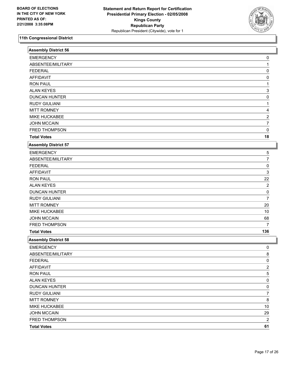

| <b>Assembly District 56</b> |                         |  |
|-----------------------------|-------------------------|--|
| <b>EMERGENCY</b>            | 0                       |  |
| ABSENTEE/MILITARY           |                         |  |
| <b>FEDERAL</b>              | 0                       |  |
| <b>AFFIDAVIT</b>            | 0                       |  |
| <b>RON PAUL</b>             |                         |  |
| <b>ALAN KEYES</b>           | 3                       |  |
| <b>DUNCAN HUNTER</b>        | 0                       |  |
| <b>RUDY GIULIANI</b>        |                         |  |
| <b>MITT ROMNEY</b>          |                         |  |
| MIKE HUCKABEE               | $\overline{2}$          |  |
| <b>JOHN MCCAIN</b>          | 7                       |  |
| FRED THOMPSON               | 0                       |  |
| <b>Total Votes</b>          | 18                      |  |
| <b>Assembly District 57</b> |                         |  |
| <b>EMERGENCY</b>            | 5                       |  |
| ABSENTEE/MILITARY           | 7                       |  |
| <b>FEDERAL</b>              | 0                       |  |
| <b>AFFIDAVIT</b>            | 3                       |  |
| <b>RON PAUL</b>             | 22                      |  |
| <b>ALAN KEYES</b>           | 2                       |  |
| <b>DUNCAN HUNTER</b>        | 0                       |  |
| <b>RUDY GIULIANI</b>        | 7                       |  |
| <b>MITT ROMNEY</b>          | 20                      |  |
| MIKE HUCKABEE               | 10                      |  |
| <b>JOHN MCCAIN</b>          | 68                      |  |
| FRED THOMPSON               |                         |  |
| <b>Total Votes</b>          | 136                     |  |
| <b>Assembly District 58</b> |                         |  |
| <b>EMERGENCY</b>            | 0                       |  |
| ABSENTEE/MILITARY           | 8                       |  |
| <b>FEDERAL</b>              | 0                       |  |
| <b>AFFIDAVIT</b>            | 2                       |  |
| <b>RON PAUL</b>             | 5                       |  |
| <b>ALAN KEYES</b>           | 0                       |  |
| <b>DUNCAN HUNTER</b>        | 0                       |  |
| <b>RUDY GIULIANI</b>        | 7                       |  |
| <b>MITT ROMNEY</b>          | 8                       |  |
| MIKE HUCKABEE               | 10                      |  |
| <b>JOHN MCCAIN</b>          | 29                      |  |
| FRED THOMPSON               | $\overline{\mathbf{c}}$ |  |
| <b>Total Votes</b>          | 61                      |  |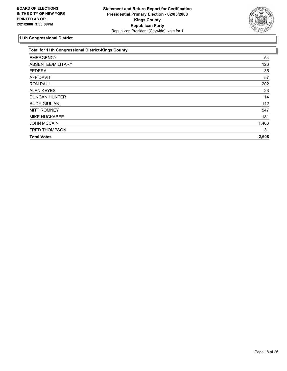

| <b>Total for 11th Congressional District-Kings County</b> |       |
|-----------------------------------------------------------|-------|
| <b>EMERGENCY</b>                                          | 54    |
| ABSENTEE/MILITARY                                         | 126   |
| <b>FEDERAL</b>                                            | 35    |
| <b>AFFIDAVIT</b>                                          | 57    |
| <b>RON PAUL</b>                                           | 202   |
| <b>ALAN KEYES</b>                                         | 23    |
| <b>DUNCAN HUNTER</b>                                      | 14    |
| <b>RUDY GIULIANI</b>                                      | 142   |
| <b>MITT ROMNEY</b>                                        | 547   |
| <b>MIKE HUCKABEE</b>                                      | 181   |
| <b>JOHN MCCAIN</b>                                        | 1,468 |
| <b>FRED THOMPSON</b>                                      | 31    |
| <b>Total Votes</b>                                        | 2,608 |
|                                                           |       |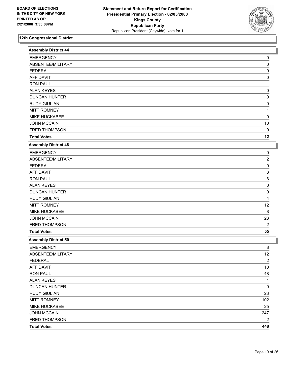

| <b>Assembly District 44</b> |                         |
|-----------------------------|-------------------------|
| <b>EMERGENCY</b>            | 0                       |
| ABSENTEE/MILITARY           | 0                       |
| <b>FEDERAL</b>              | 0                       |
| <b>AFFIDAVIT</b>            | 0                       |
| <b>RON PAUL</b>             |                         |
| <b>ALAN KEYES</b>           | 0                       |
| <b>DUNCAN HUNTER</b>        | 0                       |
| <b>RUDY GIULIANI</b>        | 0                       |
| <b>MITT ROMNEY</b>          |                         |
| MIKE HUCKABEE               | 0                       |
| <b>JOHN MCCAIN</b>          | $10$                    |
| FRED THOMPSON               | $\mathbf 0$             |
| <b>Total Votes</b>          | 12                      |
| <b>Assembly District 48</b> |                         |
| <b>EMERGENCY</b>            | 0                       |
| ABSENTEE/MILITARY           | 2                       |
| <b>FEDERAL</b>              | 0                       |
| <b>AFFIDAVIT</b>            | 3                       |
| <b>RON PAUL</b>             | 6                       |
| <b>ALAN KEYES</b>           | 0                       |
| <b>DUNCAN HUNTER</b>        | 0                       |
| <b>RUDY GIULIANI</b>        | 4                       |
| <b>MITT ROMNEY</b>          | 12                      |
| MIKE HUCKABEE               | 8                       |
| <b>JOHN MCCAIN</b>          | 23                      |
| FRED THOMPSON               | $\overline{\mathbf{c}}$ |
| <b>Total Votes</b>          | 55                      |
| <b>Assembly District 50</b> |                         |
| <b>EMERGENCY</b>            | 8                       |
| ABSENTEE/MILITARY           | 12                      |
| <b>FEDERAL</b>              | $\overline{\mathbf{c}}$ |
| <b>AFFIDAVIT</b>            | $10$                    |
| <b>RON PAUL</b>             | 48                      |
| <b>ALAN KEYES</b>           | 1                       |
| <b>DUNCAN HUNTER</b>        | 0                       |
| <b>RUDY GIULIANI</b>        | 23                      |
| <b>MITT ROMNEY</b>          | 102                     |
| MIKE HUCKABEE               | 25                      |
| <b>JOHN MCCAIN</b>          | 247                     |
| FRED THOMPSON               | $\overline{\mathbf{c}}$ |
| <b>Total Votes</b>          | 448                     |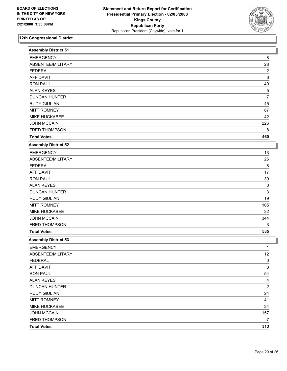

| <b>Assembly District 51</b> |                         |
|-----------------------------|-------------------------|
| <b>EMERGENCY</b>            | 8                       |
| ABSENTEE/MILITARY           | 28                      |
| <b>FEDERAL</b>              | $\overline{\mathbf{c}}$ |
| <b>AFFIDAVIT</b>            | 6                       |
| <b>RON PAUL</b>             | 40                      |
| <b>ALAN KEYES</b>           | 5                       |
| <b>DUNCAN HUNTER</b>        | 7                       |
| <b>RUDY GIULIANI</b>        | 45                      |
| <b>MITT ROMNEY</b>          | 87                      |
| MIKE HUCKABEE               | 42                      |
| <b>JOHN MCCAIN</b>          | 226                     |
| FRED THOMPSON               | 8                       |
| <b>Total Votes</b>          | 460                     |
| <b>Assembly District 52</b> |                         |
| <b>EMERGENCY</b>            | 13                      |
| ABSENTEE/MILITARY           | 26                      |
| <b>FEDERAL</b>              | 8                       |
| <b>AFFIDAVIT</b>            | 17                      |
| <b>RON PAUL</b>             | 39                      |
| <b>ALAN KEYES</b>           | 0                       |
| <b>DUNCAN HUNTER</b>        | 3                       |
| <b>RUDY GIULIANI</b>        | 19                      |
| <b>MITT ROMNEY</b>          | 105                     |
| MIKE HUCKABEE               | 22                      |
| <b>JOHN MCCAIN</b>          | 344                     |
| FRED THOMPSON               | 3                       |
| <b>Total Votes</b>          | 535                     |
| <b>Assembly District 53</b> |                         |
| <b>EMERGENCY</b>            |                         |
| ABSENTEE/MILITARY           | 12                      |
| <b>FEDERAL</b>              | $\pmb{0}$               |
| AFFIDAVIT                   | 3                       |
| <b>RON PAUL</b>             | 54                      |
| <b>ALAN KEYES</b>           | 4                       |
| <b>DUNCAN HUNTER</b>        | $\overline{c}$          |
| <b>RUDY GIULIANI</b>        | 24                      |
| <b>MITT ROMNEY</b>          | 41                      |
| MIKE HUCKABEE               | 24                      |
| <b>JOHN MCCAIN</b>          | 157                     |
| FRED THOMPSON               | 7                       |
| <b>Total Votes</b>          | 313                     |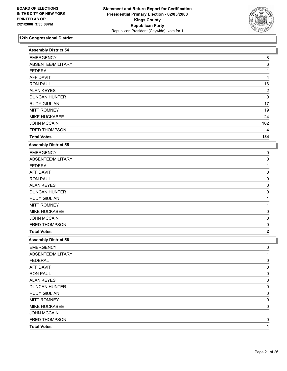

| 8<br>ABSENTEE/MILITARY<br>6<br><b>FEDERAL</b><br><b>AFFIDAVIT</b><br><b>RON PAUL</b><br>16<br><b>ALAN KEYES</b><br>$\overline{\mathbf{c}}$<br><b>DUNCAN HUNTER</b><br>$\mathbf 0$<br><b>RUDY GIULIANI</b><br>17<br><b>MITT ROMNEY</b><br>19<br>MIKE HUCKABEE<br>24<br><b>JOHN MCCAIN</b><br>102<br>FRED THOMPSON<br>4<br>184<br><b>Total Votes</b><br><b>EMERGENCY</b><br>0<br>ABSENTEE/MILITARY<br>0<br><b>FEDERAL</b><br>$\Omega$<br><b>RON PAUL</b><br>0<br><b>ALAN KEYES</b><br>0<br><b>DUNCAN HUNTER</b><br>0<br><b>RUDY GIULIANI</b><br><b>MITT ROMNEY</b><br>MIKE HUCKABEE<br>0<br><b>JOHN MCCAIN</b><br>0<br>FRED THOMPSON<br>0<br><b>Total Votes</b><br>$\mathbf 2$<br><b>EMERGENCY</b><br>0<br>ABSENTEE/MILITARY<br>1<br><b>FEDERAL</b><br>0<br>0<br><b>RON PAUL</b><br>0<br>0<br><b>DUNCAN HUNTER</b><br>0<br><b>RUDY GIULIANI</b><br>0<br><b>MITT ROMNEY</b><br>0<br>MIKE HUCKABEE<br>0<br><b>JOHN MCCAIN</b><br>1<br>FRED THOMPSON<br>0<br>1<br><b>Total Votes</b> | <b>Assembly District 54</b> |  |
|---------------------------------------------------------------------------------------------------------------------------------------------------------------------------------------------------------------------------------------------------------------------------------------------------------------------------------------------------------------------------------------------------------------------------------------------------------------------------------------------------------------------------------------------------------------------------------------------------------------------------------------------------------------------------------------------------------------------------------------------------------------------------------------------------------------------------------------------------------------------------------------------------------------------------------------------------------------------------------|-----------------------------|--|
|                                                                                                                                                                                                                                                                                                                                                                                                                                                                                                                                                                                                                                                                                                                                                                                                                                                                                                                                                                                 | <b>EMERGENCY</b>            |  |
|                                                                                                                                                                                                                                                                                                                                                                                                                                                                                                                                                                                                                                                                                                                                                                                                                                                                                                                                                                                 |                             |  |
|                                                                                                                                                                                                                                                                                                                                                                                                                                                                                                                                                                                                                                                                                                                                                                                                                                                                                                                                                                                 |                             |  |
|                                                                                                                                                                                                                                                                                                                                                                                                                                                                                                                                                                                                                                                                                                                                                                                                                                                                                                                                                                                 |                             |  |
|                                                                                                                                                                                                                                                                                                                                                                                                                                                                                                                                                                                                                                                                                                                                                                                                                                                                                                                                                                                 |                             |  |
|                                                                                                                                                                                                                                                                                                                                                                                                                                                                                                                                                                                                                                                                                                                                                                                                                                                                                                                                                                                 |                             |  |
|                                                                                                                                                                                                                                                                                                                                                                                                                                                                                                                                                                                                                                                                                                                                                                                                                                                                                                                                                                                 |                             |  |
|                                                                                                                                                                                                                                                                                                                                                                                                                                                                                                                                                                                                                                                                                                                                                                                                                                                                                                                                                                                 |                             |  |
|                                                                                                                                                                                                                                                                                                                                                                                                                                                                                                                                                                                                                                                                                                                                                                                                                                                                                                                                                                                 |                             |  |
|                                                                                                                                                                                                                                                                                                                                                                                                                                                                                                                                                                                                                                                                                                                                                                                                                                                                                                                                                                                 |                             |  |
|                                                                                                                                                                                                                                                                                                                                                                                                                                                                                                                                                                                                                                                                                                                                                                                                                                                                                                                                                                                 |                             |  |
|                                                                                                                                                                                                                                                                                                                                                                                                                                                                                                                                                                                                                                                                                                                                                                                                                                                                                                                                                                                 |                             |  |
|                                                                                                                                                                                                                                                                                                                                                                                                                                                                                                                                                                                                                                                                                                                                                                                                                                                                                                                                                                                 |                             |  |
|                                                                                                                                                                                                                                                                                                                                                                                                                                                                                                                                                                                                                                                                                                                                                                                                                                                                                                                                                                                 | <b>Assembly District 55</b> |  |
|                                                                                                                                                                                                                                                                                                                                                                                                                                                                                                                                                                                                                                                                                                                                                                                                                                                                                                                                                                                 |                             |  |
|                                                                                                                                                                                                                                                                                                                                                                                                                                                                                                                                                                                                                                                                                                                                                                                                                                                                                                                                                                                 |                             |  |
|                                                                                                                                                                                                                                                                                                                                                                                                                                                                                                                                                                                                                                                                                                                                                                                                                                                                                                                                                                                 |                             |  |
|                                                                                                                                                                                                                                                                                                                                                                                                                                                                                                                                                                                                                                                                                                                                                                                                                                                                                                                                                                                 | <b>AFFIDAVIT</b>            |  |
|                                                                                                                                                                                                                                                                                                                                                                                                                                                                                                                                                                                                                                                                                                                                                                                                                                                                                                                                                                                 |                             |  |
|                                                                                                                                                                                                                                                                                                                                                                                                                                                                                                                                                                                                                                                                                                                                                                                                                                                                                                                                                                                 |                             |  |
|                                                                                                                                                                                                                                                                                                                                                                                                                                                                                                                                                                                                                                                                                                                                                                                                                                                                                                                                                                                 |                             |  |
|                                                                                                                                                                                                                                                                                                                                                                                                                                                                                                                                                                                                                                                                                                                                                                                                                                                                                                                                                                                 |                             |  |
|                                                                                                                                                                                                                                                                                                                                                                                                                                                                                                                                                                                                                                                                                                                                                                                                                                                                                                                                                                                 |                             |  |
|                                                                                                                                                                                                                                                                                                                                                                                                                                                                                                                                                                                                                                                                                                                                                                                                                                                                                                                                                                                 |                             |  |
|                                                                                                                                                                                                                                                                                                                                                                                                                                                                                                                                                                                                                                                                                                                                                                                                                                                                                                                                                                                 |                             |  |
|                                                                                                                                                                                                                                                                                                                                                                                                                                                                                                                                                                                                                                                                                                                                                                                                                                                                                                                                                                                 |                             |  |
|                                                                                                                                                                                                                                                                                                                                                                                                                                                                                                                                                                                                                                                                                                                                                                                                                                                                                                                                                                                 |                             |  |
|                                                                                                                                                                                                                                                                                                                                                                                                                                                                                                                                                                                                                                                                                                                                                                                                                                                                                                                                                                                 | <b>Assembly District 56</b> |  |
|                                                                                                                                                                                                                                                                                                                                                                                                                                                                                                                                                                                                                                                                                                                                                                                                                                                                                                                                                                                 |                             |  |
|                                                                                                                                                                                                                                                                                                                                                                                                                                                                                                                                                                                                                                                                                                                                                                                                                                                                                                                                                                                 |                             |  |
|                                                                                                                                                                                                                                                                                                                                                                                                                                                                                                                                                                                                                                                                                                                                                                                                                                                                                                                                                                                 |                             |  |
|                                                                                                                                                                                                                                                                                                                                                                                                                                                                                                                                                                                                                                                                                                                                                                                                                                                                                                                                                                                 | <b>AFFIDAVIT</b>            |  |
|                                                                                                                                                                                                                                                                                                                                                                                                                                                                                                                                                                                                                                                                                                                                                                                                                                                                                                                                                                                 |                             |  |
|                                                                                                                                                                                                                                                                                                                                                                                                                                                                                                                                                                                                                                                                                                                                                                                                                                                                                                                                                                                 | <b>ALAN KEYES</b>           |  |
|                                                                                                                                                                                                                                                                                                                                                                                                                                                                                                                                                                                                                                                                                                                                                                                                                                                                                                                                                                                 |                             |  |
|                                                                                                                                                                                                                                                                                                                                                                                                                                                                                                                                                                                                                                                                                                                                                                                                                                                                                                                                                                                 |                             |  |
|                                                                                                                                                                                                                                                                                                                                                                                                                                                                                                                                                                                                                                                                                                                                                                                                                                                                                                                                                                                 |                             |  |
|                                                                                                                                                                                                                                                                                                                                                                                                                                                                                                                                                                                                                                                                                                                                                                                                                                                                                                                                                                                 |                             |  |
|                                                                                                                                                                                                                                                                                                                                                                                                                                                                                                                                                                                                                                                                                                                                                                                                                                                                                                                                                                                 |                             |  |
|                                                                                                                                                                                                                                                                                                                                                                                                                                                                                                                                                                                                                                                                                                                                                                                                                                                                                                                                                                                 |                             |  |
|                                                                                                                                                                                                                                                                                                                                                                                                                                                                                                                                                                                                                                                                                                                                                                                                                                                                                                                                                                                 |                             |  |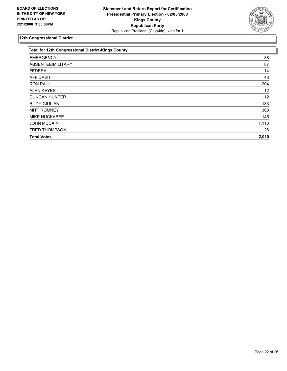

| <b>Total for 12th Congressional District-Kings County</b> |       |
|-----------------------------------------------------------|-------|
| <b>EMERGENCY</b>                                          | 38    |
| ABSENTEE/MILITARY                                         | 87    |
| <b>FEDERAL</b>                                            | 14    |
| <b>AFFIDAVIT</b>                                          | 43    |
| <b>RON PAUL</b>                                           | 204   |
| <b>ALAN KEYES</b>                                         | 12    |
| <b>DUNCAN HUNTER</b>                                      | 12    |
| <b>RUDY GIULIANI</b>                                      | 133   |
| <b>MITT ROMNEY</b>                                        | 368   |
| <b>MIKE HUCKABEE</b>                                      | 145   |
| <b>JOHN MCCAIN</b>                                        | 1,110 |
| FRED THOMPSON                                             | 26    |
| <b>Total Votes</b>                                        | 2,010 |
|                                                           |       |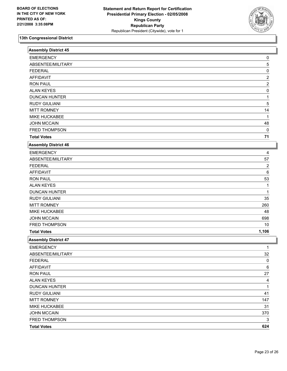

| <b>Assembly District 45</b> |                         |  |
|-----------------------------|-------------------------|--|
| <b>EMERGENCY</b>            | 0                       |  |
| ABSENTEE/MILITARY           | 5                       |  |
| <b>FEDERAL</b>              | 0                       |  |
| <b>AFFIDAVIT</b>            | $\overline{\mathbf{c}}$ |  |
| <b>RON PAUL</b>             | 2                       |  |
| <b>ALAN KEYES</b>           | 0                       |  |
| <b>DUNCAN HUNTER</b>        |                         |  |
| <b>RUDY GIULIANI</b>        | 5                       |  |
| <b>MITT ROMNEY</b>          | 14                      |  |
| MIKE HUCKABEE               |                         |  |
| <b>JOHN MCCAIN</b>          | 48                      |  |
| FRED THOMPSON               | 0                       |  |
| <b>Total Votes</b>          | $71$                    |  |
| <b>Assembly District 46</b> |                         |  |
| <b>EMERGENCY</b>            | 4                       |  |
| ABSENTEE/MILITARY           | 57                      |  |
| <b>FEDERAL</b>              | 2                       |  |
| <b>AFFIDAVIT</b>            | 6                       |  |
| <b>RON PAUL</b>             | 53                      |  |
| <b>ALAN KEYES</b>           | 1                       |  |
| <b>DUNCAN HUNTER</b>        | 1                       |  |
| <b>RUDY GIULIANI</b>        | 35                      |  |
| <b>MITT ROMNEY</b>          | 260                     |  |
| MIKE HUCKABEE               | 48                      |  |
| <b>JOHN MCCAIN</b>          | 698                     |  |
| FRED THOMPSON               | 10                      |  |
| <b>Total Votes</b>          | 1,106                   |  |
| <b>Assembly District 47</b> |                         |  |
| <b>EMERGENCY</b>            |                         |  |
| ABSENTEE/MILITARY           | 32                      |  |
| <b>FEDERAL</b>              | 0                       |  |
| <b>AFFIDAVIT</b>            | 6                       |  |
| <b>RON PAUL</b>             | 27                      |  |
| <b>ALAN KEYES</b>           | 4                       |  |
| <b>DUNCAN HUNTER</b>        | 1                       |  |
| <b>RUDY GIULIANI</b>        | 41                      |  |
| <b>MITT ROMNEY</b>          | 147                     |  |
| MIKE HUCKABEE               | 31                      |  |
| <b>JOHN MCCAIN</b>          | 370                     |  |
| FRED THOMPSON               | 3                       |  |
| <b>Total Votes</b>          | 624                     |  |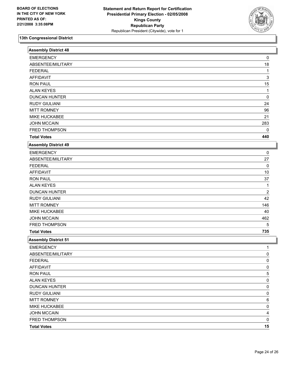

| <b>Assembly District 48</b> |                |  |
|-----------------------------|----------------|--|
| <b>EMERGENCY</b>            | 0              |  |
| ABSENTEE/MILITARY           | $18$           |  |
| <b>FEDERAL</b>              | 1              |  |
| <b>AFFIDAVIT</b>            | 3              |  |
| <b>RON PAUL</b>             | 15             |  |
| <b>ALAN KEYES</b>           | 1              |  |
| <b>DUNCAN HUNTER</b>        | 0              |  |
| <b>RUDY GIULIANI</b>        | 24             |  |
| <b>MITT ROMNEY</b>          | 96             |  |
| MIKE HUCKABEE               | 21             |  |
| <b>JOHN MCCAIN</b>          | 283            |  |
| FRED THOMPSON               | $\mathbf{0}$   |  |
| <b>Total Votes</b>          | 440            |  |
| <b>Assembly District 49</b> |                |  |
| <b>EMERGENCY</b>            | 0              |  |
| ABSENTEE/MILITARY           | 27             |  |
| <b>FEDERAL</b>              | 0              |  |
| <b>AFFIDAVIT</b>            | 10             |  |
| <b>RON PAUL</b>             | 37             |  |
| <b>ALAN KEYES</b>           | 1              |  |
| <b>DUNCAN HUNTER</b>        | $\overline{2}$ |  |
| <b>RUDY GIULIANI</b>        | 42             |  |
| <b>MITT ROMNEY</b>          | 146            |  |
| MIKE HUCKABEE               | 40             |  |
| <b>JOHN MCCAIN</b>          | 462            |  |
| FRED THOMPSON               | 5              |  |
| <b>Total Votes</b>          | 735            |  |
| <b>Assembly District 51</b> |                |  |
| <b>EMERGENCY</b>            | $\mathbf{1}$   |  |
| ABSENTEE/MILITARY           | 0              |  |
| <b>FEDERAL</b>              | 0              |  |
| <b>AFFIDAVIT</b>            | 0              |  |
| <b>RON PAUL</b>             | 5              |  |
| <b>ALAN KEYES</b>           | 0              |  |
| <b>DUNCAN HUNTER</b>        | 0              |  |
| <b>RUDY GIULIANI</b>        | 0              |  |
| <b>MITT ROMNEY</b>          | 6              |  |
| MIKE HUCKABEE               | 0              |  |
| <b>JOHN MCCAIN</b>          | 4              |  |
| FRED THOMPSON               | 0              |  |
| <b>Total Votes</b>          | 15             |  |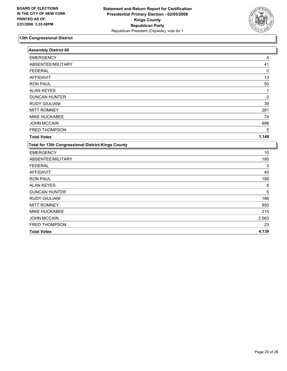

| <b>Assembly District 60</b>                        |       |
|----------------------------------------------------|-------|
| <b>EMERGENCY</b>                                   | 4     |
| ABSENTEE/MILITARY                                  | 41    |
| <b>FEDERAL</b>                                     | 0     |
| <b>AFFIDAVIT</b>                                   | 13    |
| <b>RON PAUL</b>                                    | 50    |
| <b>ALAN KEYES</b>                                  |       |
| <b>DUNCAN HUNTER</b>                               | 0     |
| <b>RUDY GIULIANI</b>                               | 39    |
| <b>MITT ROMNEY</b>                                 | 281   |
| MIKE HUCKABEE                                      | 74    |
| <b>JOHN MCCAIN</b>                                 | 698   |
| <b>FRED THOMPSON</b>                               | 5     |
| <b>Total Votes</b>                                 | 1,148 |
| Total for 13th Congressional District-Kings County |       |
| <b>EMERGENCY</b>                                   | 10    |
| ABSENTEE/MILITARY                                  | 180   |
| <b>FEDERAL</b>                                     | 3     |
| <b>AFFIDAVIT</b>                                   | 40    |
| <b>RON PAUL</b>                                    | 189   |
| <b>ALAN KEYES</b>                                  | 8     |
| <b>DUNCAN HUNTER</b>                               | 5     |
| <b>RUDY GIULIANI</b>                               | 186   |
| <b>MITT ROMNEY</b>                                 | 950   |
| MIKE HUCKABEE                                      | 215   |
| <b>JOHN MCCAIN</b>                                 | 2,563 |
| FRED THOMPSON                                      | 23    |
| <b>Total Votes</b>                                 | 4,139 |
|                                                    |       |